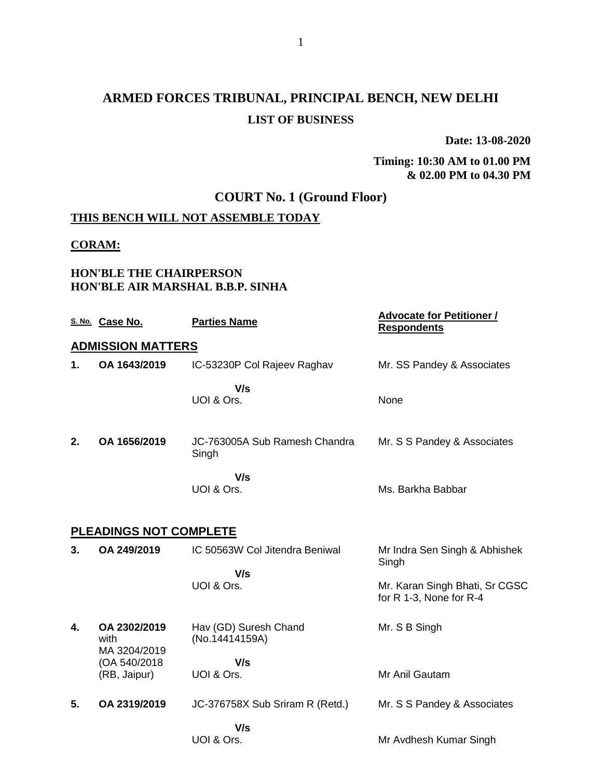# **ARMED FORCES TRIBUNAL, PRINCIPAL BENCH, NEW DELHI LIST OF BUSINESS**

**Date: 13-08-2020**

#### **Timing: 10:30 AM to 01.00 PM & 02.00 PM to 04.30 PM**

### **COURT No. 1 (Ground Floor)**

### **THIS BENCH WILL NOT ASSEMBLE TODAY**

#### **CORAM:**

#### **HON'BLE THE CHAIRPERSON HON'BLE AIR MARSHAL B.B.P. SINHA**

|    | S. No. Case No.                      | <b>Parties Name</b>                     | <b>Advocate for Petitioner /</b><br><b>Respondents</b>    |
|----|--------------------------------------|-----------------------------------------|-----------------------------------------------------------|
|    | <b>ADMISSION MATTERS</b>             |                                         |                                                           |
| 1. | OA 1643/2019                         | IC-53230P Col Rajeev Raghav             | Mr. SS Pandey & Associates                                |
|    |                                      | V/s<br>UOI & Ors.                       | None                                                      |
| 2. | OA 1656/2019                         | JC-763005A Sub Ramesh Chandra<br>Singh  | Mr. S S Pandey & Associates                               |
|    |                                      | V/s<br>UOI & Ors.                       | Ms. Barkha Babbar                                         |
|    | <b>PLEADINGS NOT COMPLETE</b>        |                                         |                                                           |
| 3. | OA 249/2019                          | IC 50563W Col Jitendra Beniwal          | Mr Indra Sen Singh & Abhishek<br>Singh                    |
|    |                                      | V/s<br>UOI & Ors.                       | Mr. Karan Singh Bhati, Sr CGSC<br>for R 1-3, None for R-4 |
| 4. | OA 2302/2019<br>with<br>MA 3204/2019 | Hav (GD) Suresh Chand<br>(No.14414159A) | Mr. S B Singh                                             |
|    | (OA 540/2018<br>(RB, Jaipur)         | V/s<br>UOI & Ors.                       | Mr Anil Gautam                                            |
| 5. | OA 2319/2019                         | JC-376758X Sub Sriram R (Retd.)         | Mr. S S Pandey & Associates                               |
|    |                                      | V/s<br>UOI & Ors.                       | Mr Avdhesh Kumar Singh                                    |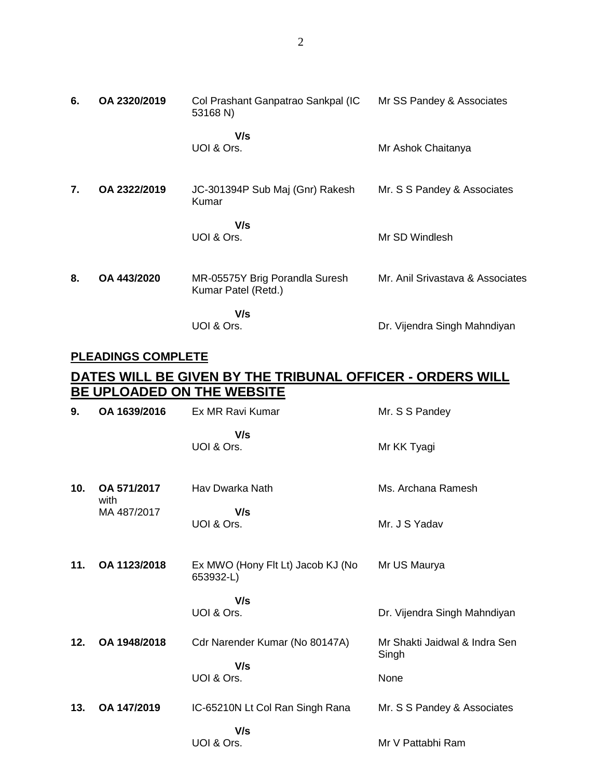| 6. | OA 2320/2019 | Col Prashant Ganpatrao Sankpal (IC<br>53168 N)        | Mr SS Pandey & Associates        |
|----|--------------|-------------------------------------------------------|----------------------------------|
|    |              | V/s<br>UOI & Ors.                                     | Mr Ashok Chaitanya               |
| 7. | OA 2322/2019 | JC-301394P Sub Maj (Gnr) Rakesh<br>Kumar              | Mr. S S Pandey & Associates      |
|    |              | V/s<br>UOI & Ors.                                     | Mr SD Windlesh                   |
| 8. | OA 443/2020  | MR-05575Y Brig Porandla Suresh<br>Kumar Patel (Retd.) | Mr. Anil Srivastava & Associates |
|    |              | V/s<br>UOI & Ors.                                     | Dr. Vijendra Singh Mahndiyan     |

### **PLEADINGS COMPLETE**

## **DATES WILL BE GIVEN BY THE TRIBUNAL OFFICER - ORDERS WILL BE UPLOADED ON THE WEBSITE**

| 9.  | OA 1639/2016        | Ex MR Ravi Kumar                               | Mr. S S Pandey                         |
|-----|---------------------|------------------------------------------------|----------------------------------------|
|     |                     | V/s<br>UOI & Ors.                              | Mr KK Tyagi                            |
| 10. | OA 571/2017<br>with | Hav Dwarka Nath                                | Ms. Archana Ramesh                     |
|     | MA 487/2017         | V/s<br>UOI & Ors.                              | Mr. J S Yadav                          |
| 11. | OA 1123/2018        | Ex MWO (Hony Flt Lt) Jacob KJ (No<br>653932-L) | Mr US Maurya                           |
|     |                     | V/s<br>UOI & Ors.                              | Dr. Vijendra Singh Mahndiyan           |
| 12. | OA 1948/2018        | Cdr Narender Kumar (No 80147A)                 | Mr Shakti Jaidwal & Indra Sen<br>Singh |
|     |                     | V/s<br>UOI & Ors.                              | None                                   |
| 13. | OA 147/2019         | IC-65210N Lt Col Ran Singh Rana                | Mr. S S Pandey & Associates            |
|     |                     | V/s<br>UOI & Ors.                              | Mr V Pattabhi Ram                      |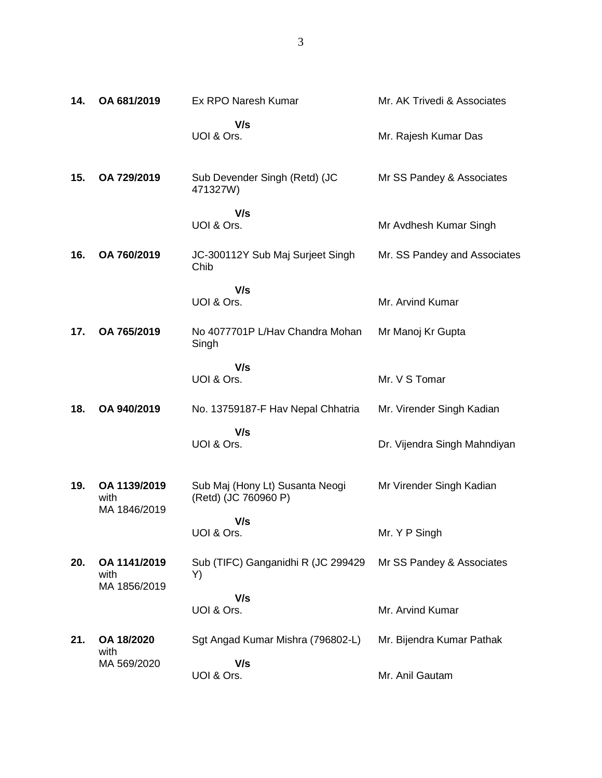| 14. | OA 681/2019                          | Ex RPO Naresh Kumar                                     | Mr. AK Trivedi & Associates  |
|-----|--------------------------------------|---------------------------------------------------------|------------------------------|
|     |                                      | V/s<br>UOI & Ors.                                       | Mr. Rajesh Kumar Das         |
| 15. | OA 729/2019                          | Sub Devender Singh (Retd) (JC<br>471327W)               | Mr SS Pandey & Associates    |
|     |                                      | V/s<br>UOI & Ors.                                       | Mr Avdhesh Kumar Singh       |
| 16. | OA 760/2019                          | JC-300112Y Sub Maj Surjeet Singh<br>Chib                | Mr. SS Pandey and Associates |
|     |                                      | V/s<br>UOI & Ors.                                       | Mr. Arvind Kumar             |
| 17. | OA 765/2019                          | No 4077701P L/Hav Chandra Mohan<br>Singh                | Mr Manoj Kr Gupta            |
|     |                                      | V/s<br>UOI & Ors.                                       | Mr. V S Tomar                |
| 18. | OA 940/2019                          | No. 13759187-F Hav Nepal Chhatria                       | Mr. Virender Singh Kadian    |
|     |                                      | V/s<br>UOI & Ors.                                       | Dr. Vijendra Singh Mahndiyan |
| 19. | OA 1139/2019<br>with<br>MA 1846/2019 | Sub Maj (Hony Lt) Susanta Neogi<br>(Retd) (JC 760960 P) | Mr Virender Singh Kadian     |
|     |                                      | V/s<br>UOI & Ors.                                       | Mr. Y P Singh                |
| 20. | OA 1141/2019<br>with                 | Sub (TIFC) Ganganidhi R (JC 299429<br>Y)                | Mr SS Pandey & Associates    |
|     | MA 1856/2019                         | V/s<br>UOI & Ors.                                       | Mr. Arvind Kumar             |
| 21. | OA 18/2020<br>with                   | Sgt Angad Kumar Mishra (796802-L)                       | Mr. Bijendra Kumar Pathak    |
|     | MA 569/2020                          | V/s                                                     |                              |

Mr. Anil Gautam

UOI & Ors.

3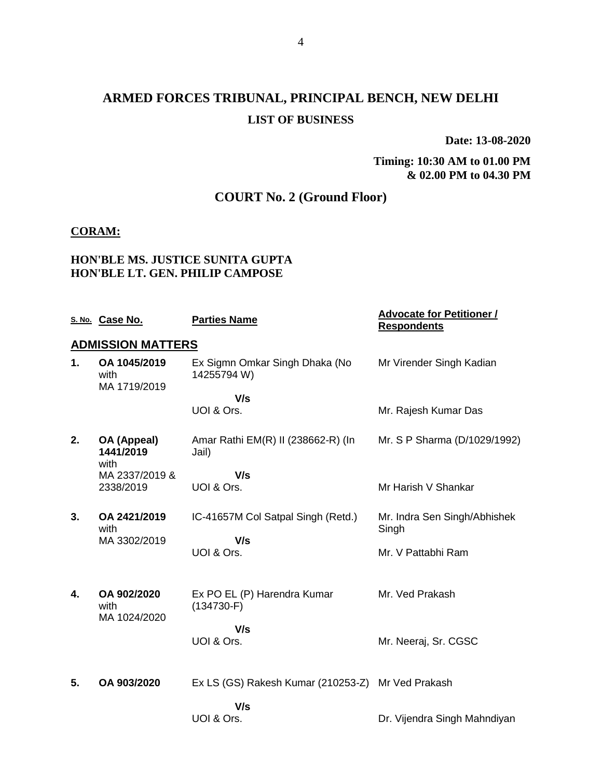# **ARMED FORCES TRIBUNAL, PRINCIPAL BENCH, NEW DELHI LIST OF BUSINESS**

**Date: 13-08-2020**

**Timing: 10:30 AM to 01.00 PM & 02.00 PM to 04.30 PM**

### **COURT No. 2 (Ground Floor)**

#### **CORAM:**

#### **HON'BLE MS. JUSTICE SUNITA GUPTA HON'BLE LT. GEN. PHILIP CAMPOSE**

|    | S. No. Case No.                      | <b>Parties Name</b>                               | <b>Advocate for Petitioner /</b><br><b>Respondents</b> |
|----|--------------------------------------|---------------------------------------------------|--------------------------------------------------------|
|    | <b>ADMISSION MATTERS</b>             |                                                   |                                                        |
| 1. | OA 1045/2019<br>with<br>MA 1719/2019 | Ex Sigmn Omkar Singh Dhaka (No<br>14255794 W)     | Mr Virender Singh Kadian                               |
|    |                                      | V/s                                               |                                                        |
|    |                                      | UOI & Ors.                                        | Mr. Rajesh Kumar Das                                   |
| 2. | OA (Appeal)<br>1441/2019             | Amar Rathi EM(R) II (238662-R) (In<br>Jail)       | Mr. S P Sharma (D/1029/1992)                           |
|    | with<br>MA 2337/2019 &               | V/s                                               |                                                        |
|    | 2338/2019                            | UOI & Ors.                                        | Mr Harish V Shankar                                    |
| 3. | OA 2421/2019<br>with                 | IC-41657M Col Satpal Singh (Retd.)                | Mr. Indra Sen Singh/Abhishek<br>Singh                  |
|    | MA 3302/2019                         | V/s                                               |                                                        |
|    |                                      | UOI & Ors.                                        | Mr. V Pattabhi Ram                                     |
| 4. | OA 902/2020<br>with                  | Ex PO EL (P) Harendra Kumar<br>$(134730-F)$       | Mr. Ved Prakash                                        |
|    | MA 1024/2020                         |                                                   |                                                        |
|    |                                      | V/s<br>UOI & Ors.                                 | Mr. Neeraj, Sr. CGSC                                   |
|    |                                      |                                                   |                                                        |
| 5. | OA 903/2020                          | Ex LS (GS) Rakesh Kumar (210253-Z) Mr Ved Prakash |                                                        |
|    |                                      | V/s                                               |                                                        |
|    |                                      | UOI & Ors.                                        | Dr. Vijendra Singh Mahndiyan                           |
|    |                                      |                                                   |                                                        |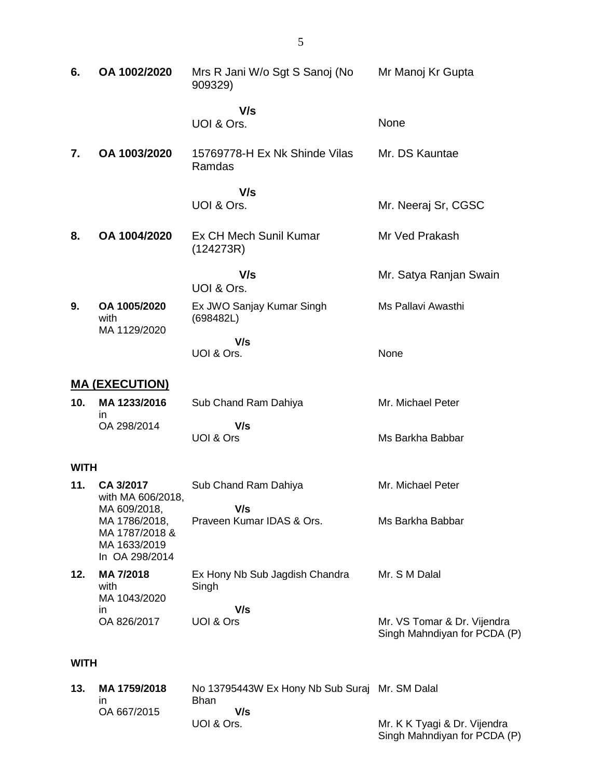| 6.          | OA 1002/2020                                                                      | Mrs R Jani W/o Sgt S Sanoj (No<br>909329)                     | Mr Manoj Kr Gupta                                           |
|-------------|-----------------------------------------------------------------------------------|---------------------------------------------------------------|-------------------------------------------------------------|
|             |                                                                                   | V/s<br>UOI & Ors.                                             | None                                                        |
| 7.          | OA 1003/2020                                                                      | 15769778-H Ex Nk Shinde Vilas<br>Ramdas                       | Mr. DS Kauntae                                              |
|             |                                                                                   | V/s<br>UOI & Ors.                                             | Mr. Neeraj Sr, CGSC                                         |
| 8.          | OA 1004/2020                                                                      | Ex CH Mech Sunil Kumar<br>(124273R)                           | Mr Ved Prakash                                              |
|             |                                                                                   | V/s<br>UOI & Ors.                                             | Mr. Satya Ranjan Swain                                      |
| 9.          | OA 1005/2020<br>with<br>MA 1129/2020                                              | Ex JWO Sanjay Kumar Singh<br>(698482L)                        | Ms Pallavi Awasthi                                          |
|             |                                                                                   | V/s<br>UOI & Ors.                                             | None                                                        |
|             | <b>MA (EXECUTION)</b>                                                             |                                                               |                                                             |
| 10.         | MA 1233/2016<br>in                                                                | Sub Chand Ram Dahiya                                          | Mr. Michael Peter                                           |
|             | OA 298/2014                                                                       | V/s<br>UOI & Ors                                              | Ms Barkha Babbar                                            |
| <b>WITH</b> |                                                                                   |                                                               |                                                             |
| 11.         | CA 3/2017<br>with MA 606/2018,                                                    | Sub Chand Ram Dahiya                                          | Mr. Michael Peter                                           |
|             | MA 609/2018,<br>MA 1786/2018,<br>MA 1787/2018 &<br>MA 1633/2019<br>In OA 298/2014 | V/s<br>Praveen Kumar IDAS & Ors.                              | Ms Barkha Babbar                                            |
| 12.         | MA 7/2018<br>with<br>MA 1043/2020                                                 | Ex Hony Nb Sub Jagdish Chandra<br>Singh                       | Mr. S M Dalal                                               |
|             | in<br>OA 826/2017                                                                 | V/s<br>UOI & Ors                                              | Mr. VS Tomar & Dr. Vijendra<br>Singh Mahndiyan for PCDA (P) |
| <b>WITH</b> |                                                                                   |                                                               |                                                             |
| 13.         | MA 1759/2018<br>in                                                                | No 13795443W Ex Hony Nb Sub Suraj Mr. SM Dalal<br><b>Bhan</b> |                                                             |

 **V/s**

Mr. K K Tyagi & Dr. Vijendra Singh Mahndiyan for PCDA (P)

UOI & Ors.

OA 667/2015

5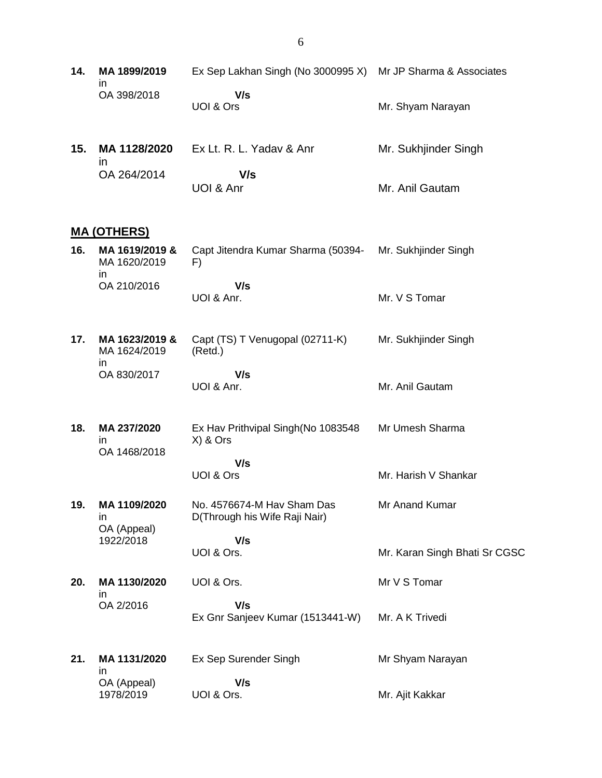| 14. | MA 1899/2019<br>ın                    | Ex Sep Lakhan Singh (No 3000995 X)                          | Mr JP Sharma & Associates     |
|-----|---------------------------------------|-------------------------------------------------------------|-------------------------------|
|     | OA 398/2018                           | V/s<br>UOI & Ors                                            | Mr. Shyam Narayan             |
| 15. | MA 1128/2020<br>$\mathsf{I}$          | Ex Lt. R. L. Yadav & Anr                                    | Mr. Sukhjinder Singh          |
|     | OA 264/2014                           | V/s<br>UOI & Anr                                            | Mr. Anil Gautam               |
|     | <u>MA (OTHERS)</u>                    |                                                             |                               |
| 16. | MA 1619/2019 &<br>MA 1620/2019<br>in. | Capt Jitendra Kumar Sharma (50394-<br>F)                    | Mr. Sukhjinder Singh          |
|     | OA 210/2016                           | V/s<br>UOI & Anr.                                           | Mr. V S Tomar                 |
| 17. | MA 1623/2019 &<br>MA 1624/2019        | Capt (TS) T Venugopal (02711-K)<br>(Retd.)                  | Mr. Sukhjinder Singh          |
|     | in<br>OA 830/2017                     | V/s<br>UOI & Anr.                                           | Mr. Anil Gautam               |
| 18. | MA 237/2020<br>in<br>OA 1468/2018     | Ex Hav Prithvipal Singh(No 1083548<br>X) & Ors              | Mr Umesh Sharma               |
|     |                                       | V/s<br>UOI & Ors                                            | Mr. Harish V Shankar          |
| 19. | MA 1109/2020<br>ın<br>OA (Appeal)     | No. 4576674-M Hav Sham Das<br>D(Through his Wife Raji Nair) | Mr Anand Kumar                |
|     | 1922/2018                             | V/s<br>UOI & Ors.                                           | Mr. Karan Singh Bhati Sr CGSC |
| 20. | MA 1130/2020<br>in                    | UOI & Ors.                                                  | Mr V S Tomar                  |
|     | OA 2/2016                             | V/s<br>Ex Gnr Sanjeev Kumar (1513441-W)                     | Mr. A K Trivedi               |
| 21. | MA 1131/2020<br>in                    | Ex Sep Surender Singh                                       | Mr Shyam Narayan              |
|     | OA (Appeal)<br>1978/2019              | V/s<br>UOI & Ors.                                           | Mr. Ajit Kakkar               |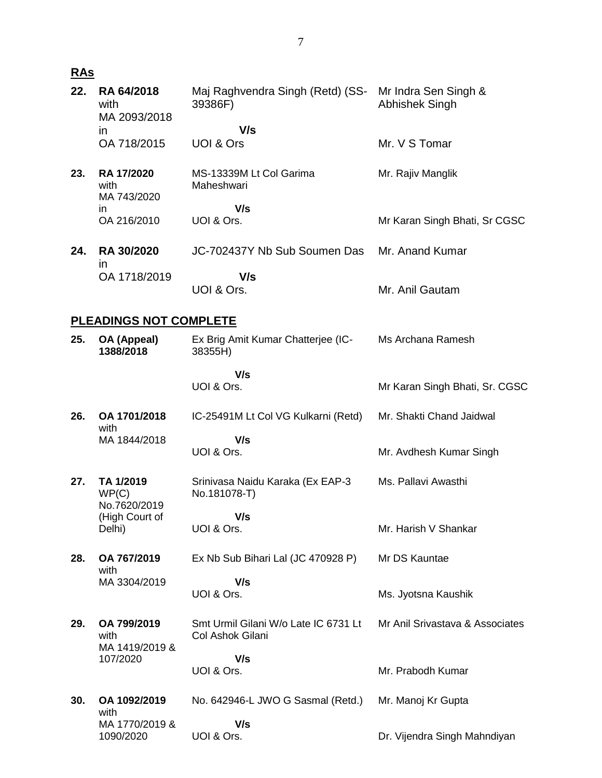## **RAs**

| 22. | RA 64/2018<br>with<br>MA 2093/2018       | Maj Raghvendra Singh (Retd) (SS-<br>39386F)              | Mr Indra Sen Singh &<br>Abhishek Singh |
|-----|------------------------------------------|----------------------------------------------------------|----------------------------------------|
|     | in.                                      | V/s                                                      |                                        |
|     | OA 718/2015                              | UOI & Ors                                                | Mr. V S Tomar                          |
| 23. | <b>RA 17/2020</b><br>with<br>MA 743/2020 | MS-13339M Lt Col Garima<br>Maheshwari                    | Mr. Rajiv Manglik                      |
|     | in<br>OA 216/2010                        | V/s<br>UOI & Ors.                                        | Mr Karan Singh Bhati, Sr CGSC          |
| 24. | <b>RA 30/2020</b><br>$\mathsf{I}$        | JC-702437Y Nb Sub Soumen Das                             | Mr. Anand Kumar                        |
|     | OA 1718/2019                             | V/s<br>UOI & Ors.                                        | Mr. Anil Gautam                        |
|     | <b>PLEADINGS NOT COMPLETE</b>            |                                                          |                                        |
| 25. | OA (Appeal)<br>1388/2018                 | Ex Brig Amit Kumar Chatterjee (IC-<br>38355H)            | Ms Archana Ramesh                      |
|     |                                          | V/s<br>UOI & Ors.                                        | Mr Karan Singh Bhati, Sr. CGSC         |
| 26. | OA 1701/2018<br>with                     | IC-25491M Lt Col VG Kulkarni (Retd)                      | Mr. Shakti Chand Jaidwal               |
|     | MA 1844/2018                             | V/s                                                      |                                        |
|     |                                          | UOI & Ors.                                               | Mr. Avdhesh Kumar Singh                |
| 27. | TA 1/2019<br>WP(C)<br>No.7620/2019       | Srinivasa Naidu Karaka (Ex EAP-3<br>No.181078-T)         | Ms. Pallavi Awasthi                    |
|     | (High Court of                           | V/s                                                      |                                        |
|     | Delhi)                                   | UOI & Ors.                                               | Mr. Harish V Shankar                   |
| 28. | OA 767/2019<br>with                      | Ex Nb Sub Bihari Lal (JC 470928 P)                       | Mr DS Kauntae                          |
|     | MA 3304/2019                             | V/s<br>UOI & Ors.                                        | Ms. Jyotsna Kaushik                    |
|     |                                          |                                                          |                                        |
| 29. | OA 799/2019<br>with<br>MA 1419/2019 &    | Smt Urmil Gilani W/o Late IC 6731 Lt<br>Col Ashok Gilani | Mr Anil Srivastava & Associates        |
|     | 107/2020                                 | V/s                                                      |                                        |
|     |                                          | UOI & Ors.                                               | Mr. Prabodh Kumar                      |
| 30. | OA 1092/2019<br>with                     | No. 642946-L JWO G Sasmal (Retd.)                        | Mr. Manoj Kr Gupta                     |
|     | MA 1770/2019 &<br>1090/2020              | V/s<br>UOI & Ors.                                        | Dr. Vijendra Singh Mahndiyan           |
|     |                                          |                                                          |                                        |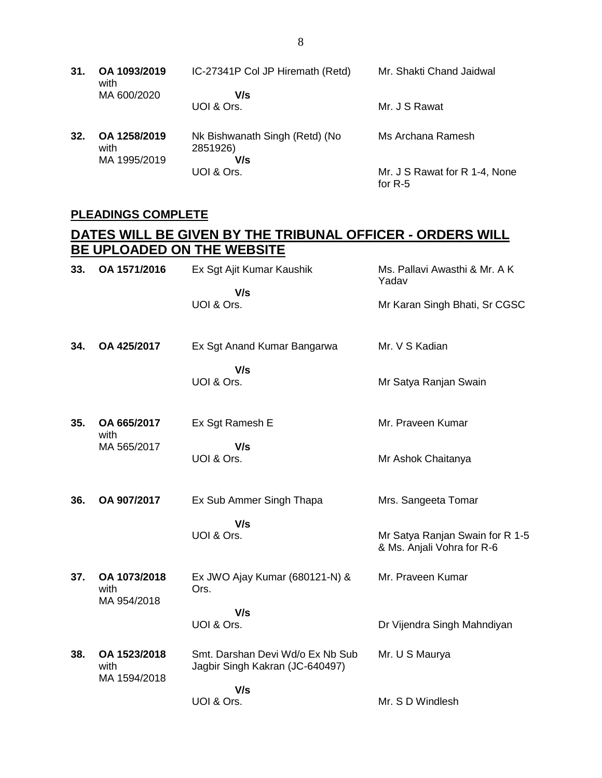| 31. | OA 1093/2019<br>with                 | IC-27341P Col JP Hiremath (Retd)                  | Mr. Shakti Chand Jaidwal                   |
|-----|--------------------------------------|---------------------------------------------------|--------------------------------------------|
|     | MA 600/2020                          | V/s<br>UOI & Ors.                                 | Mr. J S Rawat                              |
| 32. | OA 1258/2019<br>with<br>MA 1995/2019 | Nk Bishwanath Singh (Retd) (No<br>2851926)<br>V/s | Ms Archana Ramesh                          |
|     |                                      | UOI & Ors.                                        | Mr. J S Rawat for R 1-4, None<br>for $R-5$ |

### **PLEADINGS COMPLETE**

## **DATES WILL BE GIVEN BY THE TRIBUNAL OFFICER - ORDERS WILL BE UPLOADED ON THE WEBSITE**

| 33. | OA 1571/2016                         | Ex Sgt Ajit Kumar Kaushik<br>V/s<br>UOI & Ors.                                           | Ms. Pallavi Awasthi & Mr. A K<br>Yadav<br>Mr Karan Singh Bhati, Sr CGSC              |
|-----|--------------------------------------|------------------------------------------------------------------------------------------|--------------------------------------------------------------------------------------|
| 34. | OA 425/2017                          | Ex Sgt Anand Kumar Bangarwa<br>V/s<br>UOI & Ors.                                         | Mr. V S Kadian<br>Mr Satya Ranjan Swain                                              |
| 35. | OA 665/2017<br>with<br>MA 565/2017   | Ex Sgt Ramesh E<br>V/s<br>UOI & Ors.                                                     | Mr. Praveen Kumar<br>Mr Ashok Chaitanya                                              |
| 36. | OA 907/2017                          | Ex Sub Ammer Singh Thapa<br>V/s<br>UOI & Ors.                                            | Mrs. Sangeeta Tomar<br>Mr Satya Ranjan Swain for R 1-5<br>& Ms. Anjali Vohra for R-6 |
| 37. | OA 1073/2018<br>with<br>MA 954/2018  | Ex JWO Ajay Kumar (680121-N) &<br>Ors.<br>V/s<br>UOI & Ors.                              | Mr. Praveen Kumar<br>Dr Vijendra Singh Mahndiyan                                     |
| 38. | OA 1523/2018<br>with<br>MA 1594/2018 | Smt. Darshan Devi Wd/o Ex Nb Sub<br>Jagbir Singh Kakran (JC-640497)<br>V/s<br>UOI & Ors. | Mr. U S Maurya<br>Mr. S D Windlesh                                                   |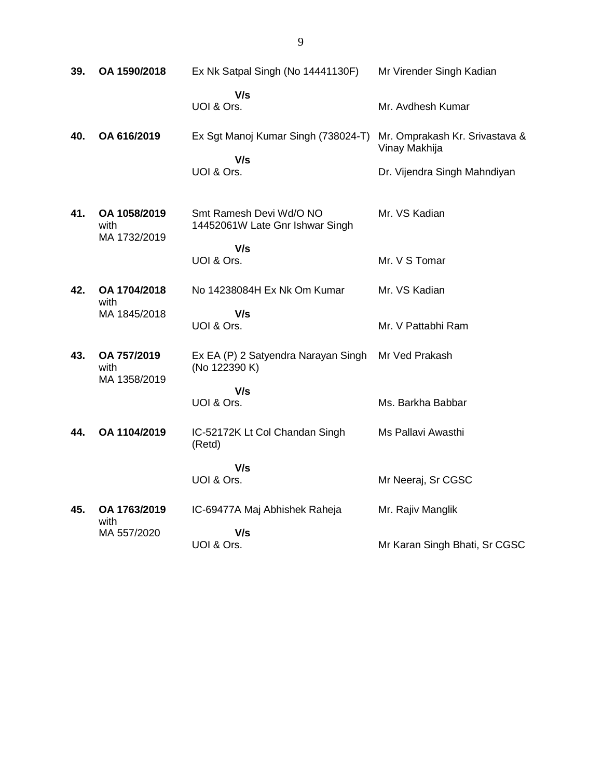| 39. | OA 1590/2018                         | Ex Nk Satpal Singh (No 14441130F)                          | Mr Virender Singh Kadian                        |
|-----|--------------------------------------|------------------------------------------------------------|-------------------------------------------------|
|     |                                      | V/s<br>UOI & Ors.                                          | Mr. Avdhesh Kumar                               |
| 40. | OA 616/2019                          | Ex Sgt Manoj Kumar Singh (738024-T)<br>V/s                 | Mr. Omprakash Kr. Srivastava &<br>Vinay Makhija |
|     |                                      | UOI & Ors.                                                 | Dr. Vijendra Singh Mahndiyan                    |
| 41. | OA 1058/2019<br>with<br>MA 1732/2019 | Smt Ramesh Devi Wd/O NO<br>14452061W Late Gnr Ishwar Singh | Mr. VS Kadian                                   |
|     |                                      | V/s<br>UOI & Ors.                                          | Mr. V S Tomar                                   |
| 42. | OA 1704/2018<br>with                 | No 14238084H Ex Nk Om Kumar                                | Mr. VS Kadian                                   |
|     | MA 1845/2018                         | V/s<br>UOI & Ors.                                          | Mr. V Pattabhi Ram                              |
| 43. | OA 757/2019<br>with<br>MA 1358/2019  | Ex EA (P) 2 Satyendra Narayan Singh<br>(No 122390 K)       | Mr Ved Prakash                                  |
|     |                                      | V/s<br>UOI & Ors.                                          | Ms. Barkha Babbar                               |
| 44. | OA 1104/2019                         | IC-52172K Lt Col Chandan Singh<br>(Retd)                   | Ms Pallavi Awasthi                              |
|     |                                      | V/s<br>UOI & Ors.                                          | Mr Neeraj, Sr CGSC                              |
| 45. | OA 1763/2019<br>with                 | IC-69477A Maj Abhishek Raheja                              | Mr. Rajiv Manglik                               |
|     | MA 557/2020                          | V/s<br>UOI & Ors.                                          | Mr Karan Singh Bhati, Sr CGSC                   |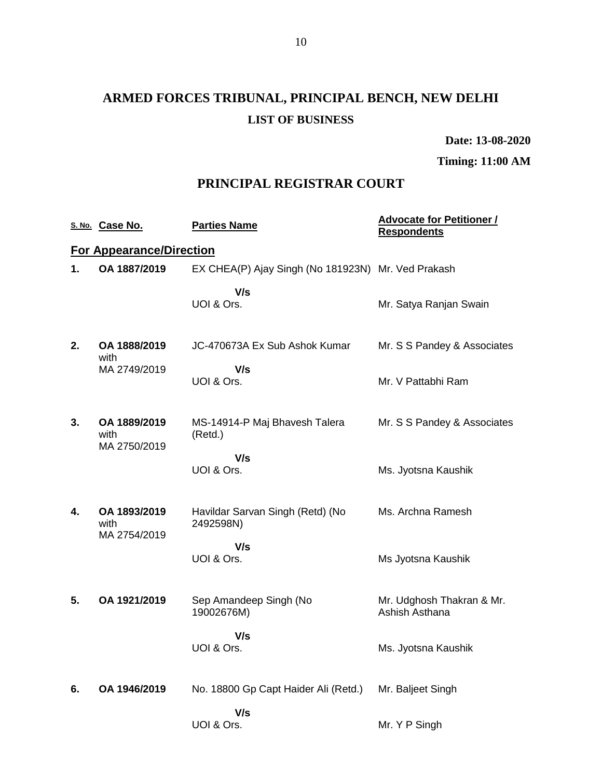# **ARMED FORCES TRIBUNAL, PRINCIPAL BENCH, NEW DELHI LIST OF BUSINESS**

**Date: 13-08-2020**

**Timing: 11:00 AM**

### **PRINCIPAL REGISTRAR COURT**

|    | S. No. Case No.                      | <b>Parties Name</b>                                | <b>Advocate for Petitioner /</b><br><b>Respondents</b> |
|----|--------------------------------------|----------------------------------------------------|--------------------------------------------------------|
|    | <b>For Appearance/Direction</b>      |                                                    |                                                        |
| 1. | OA 1887/2019                         | EX CHEA(P) Ajay Singh (No 181923N) Mr. Ved Prakash |                                                        |
|    |                                      | V/s<br>UOI & Ors.                                  | Mr. Satya Ranjan Swain                                 |
| 2. | OA 1888/2019<br>with                 | JC-470673A Ex Sub Ashok Kumar                      | Mr. S S Pandey & Associates                            |
|    | MA 2749/2019                         | V/s<br>UOI & Ors.                                  | Mr. V Pattabhi Ram                                     |
| 3. | OA 1889/2019<br>with<br>MA 2750/2019 | MS-14914-P Maj Bhavesh Talera<br>(Retd.)           | Mr. S S Pandey & Associates                            |
|    |                                      | V/s<br>UOI & Ors.                                  | Ms. Jyotsna Kaushik                                    |
| 4. | OA 1893/2019<br>with                 | Havildar Sarvan Singh (Retd) (No<br>2492598N)      | Ms. Archna Ramesh                                      |
|    | MA 2754/2019                         | V/s<br>UOI & Ors.                                  | Ms Jyotsna Kaushik                                     |
| 5. | OA 1921/2019                         | Sep Amandeep Singh (No<br>19002676M)               | Mr. Udghosh Thakran & Mr.<br>Ashish Asthana            |
|    |                                      | V/s<br>UOI & Ors.                                  | Ms. Jyotsna Kaushik                                    |
| 6. | OA 1946/2019                         | No. 18800 Gp Capt Haider Ali (Retd.)               | Mr. Baljeet Singh                                      |
|    |                                      | V/s<br>UOI & Ors.                                  | Mr. Y P Singh                                          |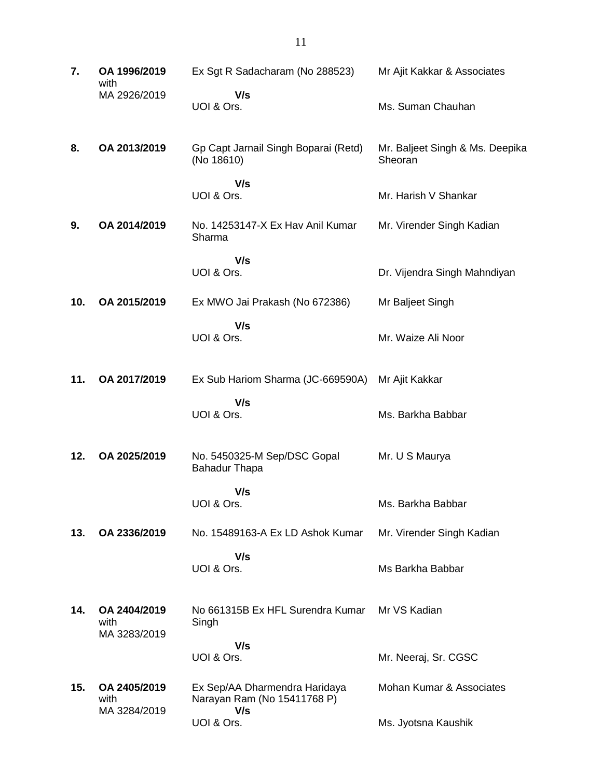| 7.  | OA 1996/2019<br>with                 | Ex Sgt R Sadacharam (No 288523)                                     | Mr Ajit Kakkar & Associates                |
|-----|--------------------------------------|---------------------------------------------------------------------|--------------------------------------------|
|     | MA 2926/2019                         | V/s<br>UOI & Ors.                                                   | Ms. Suman Chauhan                          |
| 8.  | OA 2013/2019                         | Gp Capt Jarnail Singh Boparai (Retd)<br>(No 18610)                  | Mr. Baljeet Singh & Ms. Deepika<br>Sheoran |
|     |                                      | V/s<br>UOI & Ors.                                                   | Mr. Harish V Shankar                       |
| 9.  | OA 2014/2019                         | No. 14253147-X Ex Hav Anil Kumar<br>Sharma                          | Mr. Virender Singh Kadian                  |
|     |                                      | V/s<br>UOI & Ors.                                                   | Dr. Vijendra Singh Mahndiyan               |
| 10. | OA 2015/2019                         | Ex MWO Jai Prakash (No 672386)                                      | Mr Baljeet Singh                           |
|     |                                      | V/s<br>UOI & Ors.                                                   | Mr. Waize Ali Noor                         |
| 11. | OA 2017/2019                         | Ex Sub Hariom Sharma (JC-669590A)                                   | Mr Ajit Kakkar                             |
|     |                                      | V/s<br>UOI & Ors.                                                   | Ms. Barkha Babbar                          |
| 12. | OA 2025/2019                         | No. 5450325-M Sep/DSC Gopal<br><b>Bahadur Thapa</b>                 | Mr. U S Maurya                             |
|     |                                      | V/s<br>UOI & Ors.                                                   | Ms. Barkha Babbar                          |
| 13. | OA 2336/2019                         | No. 15489163-A Ex LD Ashok Kumar                                    | Mr. Virender Singh Kadian                  |
|     |                                      | V/s<br>UOI & Ors.                                                   | Ms Barkha Babbar                           |
| 14. | OA 2404/2019<br>with<br>MA 3283/2019 | No 661315B Ex HFL Surendra Kumar<br>Singh                           | Mr VS Kadian                               |
|     |                                      | V/s<br>UOI & Ors.                                                   | Mr. Neeraj, Sr. CGSC                       |
| 15. | OA 2405/2019<br>with<br>MA 3284/2019 | Ex Sep/AA Dharmendra Haridaya<br>Narayan Ram (No 15411768 P)<br>V/s | Mohan Kumar & Associates                   |
|     |                                      | UOI & Ors.                                                          | Ms. Jyotsna Kaushik                        |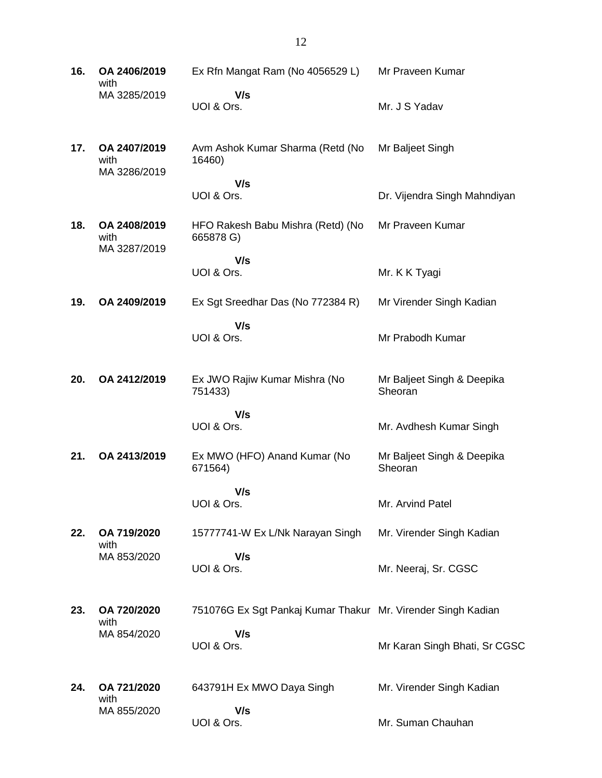| 16. | OA 2406/2019<br>with                 | Ex Rfn Mangat Ram (No 4056529 L)                             | Mr Praveen Kumar                      |
|-----|--------------------------------------|--------------------------------------------------------------|---------------------------------------|
|     | MA 3285/2019                         | V/s<br>UOI & Ors.                                            | Mr. J S Yadav                         |
| 17. | OA 2407/2019<br>with<br>MA 3286/2019 | Avm Ashok Kumar Sharma (Retd (No<br>16460)                   | Mr Baljeet Singh                      |
|     |                                      | V/s<br>UOI & Ors.                                            | Dr. Vijendra Singh Mahndiyan          |
| 18. | OA 2408/2019<br>with<br>MA 3287/2019 | HFO Rakesh Babu Mishra (Retd) (No<br>665878 G)               | Mr Praveen Kumar                      |
|     |                                      | V/s<br>UOI & Ors.                                            | Mr. K K Tyagi                         |
| 19. | OA 2409/2019                         | Ex Sgt Sreedhar Das (No 772384 R)                            | Mr Virender Singh Kadian              |
|     |                                      | V/s<br>UOI & Ors.                                            | Mr Prabodh Kumar                      |
| 20. | OA 2412/2019                         | Ex JWO Rajiw Kumar Mishra (No<br>751433)                     | Mr Baljeet Singh & Deepika<br>Sheoran |
|     |                                      | V/s<br>UOI & Ors.                                            | Mr. Avdhesh Kumar Singh               |
| 21. | OA 2413/2019                         | Ex MWO (HFO) Anand Kumar (No<br>671564)                      | Mr Baljeet Singh & Deepika<br>Sheoran |
|     |                                      | V/s<br>UOI & Ors.                                            | Mr. Arvind Patel                      |
| 22. | OA 719/2020<br>with                  | 15777741-W Ex L/Nk Narayan Singh                             | Mr. Virender Singh Kadian             |
|     | MA 853/2020                          | V/s<br>UOI & Ors.                                            | Mr. Neeraj, Sr. CGSC                  |
| 23. | OA 720/2020<br>with                  | 751076G Ex Sgt Pankaj Kumar Thakur Mr. Virender Singh Kadian |                                       |
|     | MA 854/2020                          | V/s<br>UOI & Ors.                                            | Mr Karan Singh Bhati, Sr CGSC         |
| 24. | OA 721/2020<br>with                  | 643791H Ex MWO Daya Singh                                    | Mr. Virender Singh Kadian             |
|     | MA 855/2020                          | V/s<br>UOI & Ors.                                            | Mr. Suman Chauhan                     |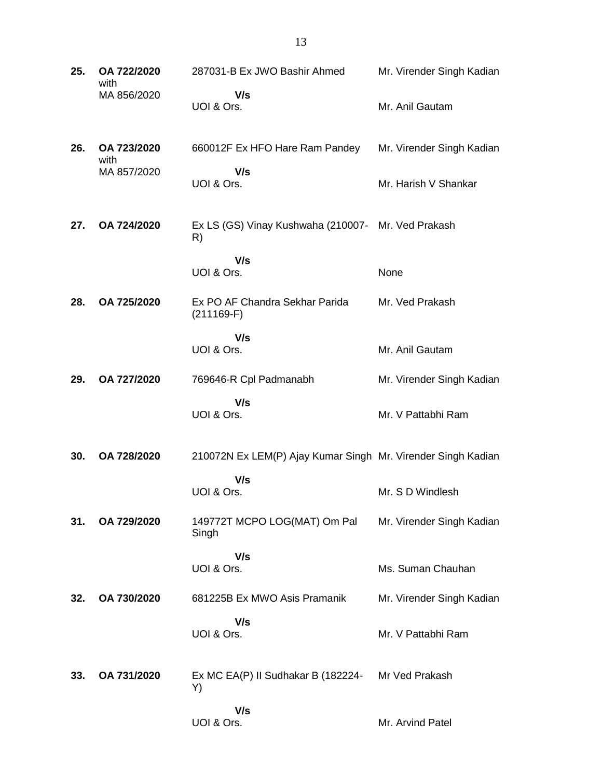| 25. | OA 722/2020<br>with | 287031-B Ex JWO Bashir Ahmed                                 | Mr. Virender Singh Kadian |
|-----|---------------------|--------------------------------------------------------------|---------------------------|
|     | MA 856/2020         | V/s<br>UOI & Ors.                                            | Mr. Anil Gautam           |
| 26. | OA 723/2020<br>with | 660012F Ex HFO Hare Ram Pandey                               | Mr. Virender Singh Kadian |
|     | MA 857/2020         | V/s<br>UOI & Ors.                                            | Mr. Harish V Shankar      |
| 27. | OA 724/2020         | Ex LS (GS) Vinay Kushwaha (210007- Mr. Ved Prakash<br>R)     |                           |
|     |                     | V/s<br>UOI & Ors.                                            | None                      |
| 28. | OA 725/2020         | Ex PO AF Chandra Sekhar Parida<br>$(211169-F)$               | Mr. Ved Prakash           |
|     |                     | V/s<br>UOI & Ors.                                            | Mr. Anil Gautam           |
| 29. | OA 727/2020         | 769646-R Cpl Padmanabh                                       | Mr. Virender Singh Kadian |
|     |                     | V/s<br>UOI & Ors.                                            | Mr. V Pattabhi Ram        |
| 30. | OA 728/2020         | 210072N Ex LEM(P) Ajay Kumar Singh Mr. Virender Singh Kadian |                           |
|     |                     | V/s<br>UOI & Ors.                                            | Mr. S D Windlesh          |
| 31. | OA 729/2020         | 149772T MCPO LOG(MAT) Om Pal<br>Singh                        | Mr. Virender Singh Kadian |
|     |                     | V/s<br>UOI & Ors.                                            | Ms. Suman Chauhan         |
| 32. | OA 730/2020         | 681225B Ex MWO Asis Pramanik                                 | Mr. Virender Singh Kadian |
|     |                     | V/s<br>UOI & Ors.                                            | Mr. V Pattabhi Ram        |
| 33. | OA 731/2020         | Ex MC EA(P) II Sudhakar B (182224-<br>Y)                     | Mr Ved Prakash            |
|     |                     | V/s<br>UOI & Ors.                                            | Mr. Arvind Patel          |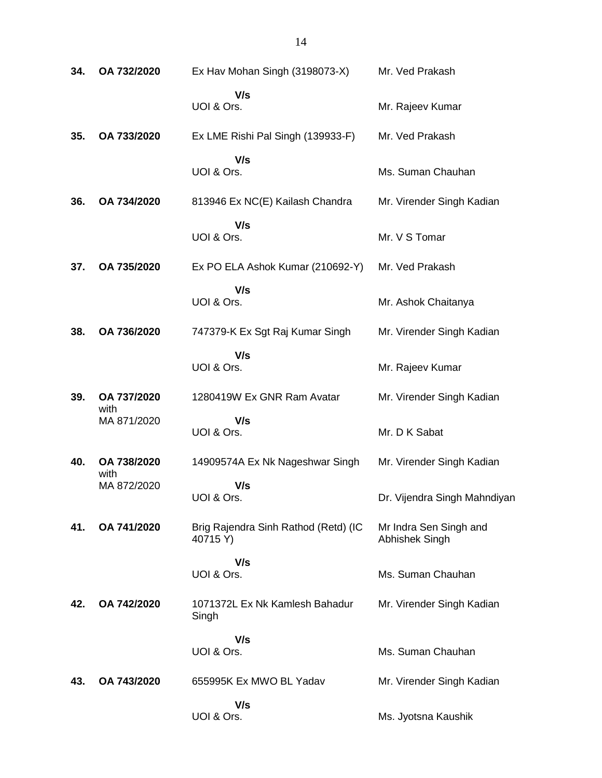| 34. | OA 732/2020         | Ex Hav Mohan Singh (3198073-X)                   | Mr. Ved Prakash                          |
|-----|---------------------|--------------------------------------------------|------------------------------------------|
|     |                     | V/s<br>UOI & Ors.                                | Mr. Rajeev Kumar                         |
| 35. | OA 733/2020         | Ex LME Rishi Pal Singh (139933-F)                | Mr. Ved Prakash                          |
|     |                     | V/s<br>UOI & Ors.                                | Ms. Suman Chauhan                        |
| 36. | OA 734/2020         | 813946 Ex NC(E) Kailash Chandra                  | Mr. Virender Singh Kadian                |
|     |                     | V/s<br>UOI & Ors.                                | Mr. V S Tomar                            |
| 37. | OA 735/2020         | Ex PO ELA Ashok Kumar (210692-Y)                 | Mr. Ved Prakash                          |
|     |                     | V/s<br>UOI & Ors.                                | Mr. Ashok Chaitanya                      |
| 38. | OA 736/2020         | 747379-K Ex Sgt Raj Kumar Singh                  | Mr. Virender Singh Kadian                |
|     |                     | V/s<br>UOI & Ors.                                | Mr. Rajeev Kumar                         |
| 39. | OA 737/2020<br>with | 1280419W Ex GNR Ram Avatar                       | Mr. Virender Singh Kadian                |
|     | MA 871/2020         | V/s<br>UOI & Ors.                                | Mr. D K Sabat                            |
| 40. | OA 738/2020<br>with | 14909574A Ex Nk Nageshwar Singh                  | Mr. Virender Singh Kadian                |
|     | MA 872/2020         | V/s<br>UOI & Ors.                                | Dr. Vijendra Singh Mahndiyan             |
| 41. | OA 741/2020         | Brig Rajendra Sinh Rathod (Retd) (IC<br>40715 Y) | Mr Indra Sen Singh and<br>Abhishek Singh |
|     |                     | V/s<br>UOI & Ors.                                | Ms. Suman Chauhan                        |
| 42. | OA 742/2020         | 1071372L Ex Nk Kamlesh Bahadur<br>Singh          | Mr. Virender Singh Kadian                |
|     |                     | V/s<br>UOI & Ors.                                | Ms. Suman Chauhan                        |
| 43. | OA 743/2020         | 655995K Ex MWO BL Yadav                          | Mr. Virender Singh Kadian                |
|     |                     | V/s<br>UOI & Ors.                                | Ms. Jyotsna Kaushik                      |